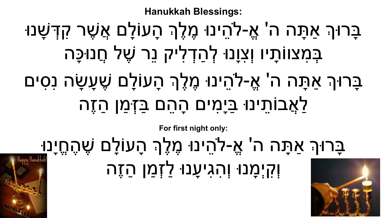

## ַבָּרוּךְ אַתָּה ה' אֱ-לֹהֵינוּ מֶלֶךְ הָעוֹלָם שֶׁהֶחֱיָנ<u>וּ</u> וְקִ יְמָ נוּ וְהִגִיעָנוּ לַזְמַ ן הַזֶה

**For first night only:**

# ַּבָּרוּךָ אַתָּה ה' אֱ-לֹהֵינוּ מֶלֶךְ הָעוֹלָם שֶׁעָשָׂה נִסִים לַאֲבוֹתֵ ינוּ בַּיָמִ ים הָהֵם בַּזְּמַ ן הַזֶה

ַבָּרוּךָ אַתָּה ה' אֱ-לֹהֵינוּ מֶלֶךְ הָעוֹלָם אֲשֶׁר קִדְּשָׁנוּ בְּמִצוּוֹתָיו וְצִוָּנוּ לְהַדְלִיק נֵר שֶׁל חֲנוּכָּה

**Hanukkah Blessings:**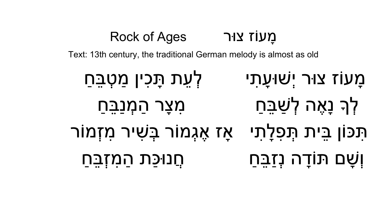מַ עוֹז צוּר Rock of Ages Text: 13th century, the traditional German melody is almost as old מָעוֹז צוּר יְשׁוּעָתִי **- לְעֵת תָּכִין מַטְבֵּח**ַ לְךָ נָאֶה לְשַׁבֵּחַ מִצֹּר הַמְנַבֵּחַ תִּכּוֹן בֵּית תִּפְלַתִי - אַז אֵגְמוֹר בְּשִׁיר מִזְמוֹר וְשָׁ ם תּוֹדָ ה נְזַבֵּחַ חֲנוּכַּת הַמִ זְבֵּחַ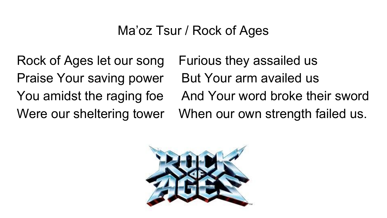#### Ma'oz Tsur / Rock of Ages

Rock of Ages let our song Furious they assailed us Praise Your saving power But Your arm availed us

You amidst the raging foe And Your word broke their sword Were our sheltering tower When our own strength failed us.

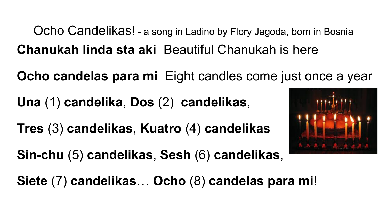Ocho Candelikas! - a song in Ladino by Flory Jagoda, born in Bosnia **Chanukah linda sta aki** Beautiful Chanukah is here

**Ocho candelas para mi** Eight candles come just once a year

**Una** (1) **candelika**, **Dos** (2) **candelikas**,

**Tres** (3) **candelikas**, **Kuatro** (4) **candelikas** 

**Sin-chu** (5) **candelikas**, **Sesh** (6) **candelikas**,

**Siete** (7) **candelikas**… **Ocho** (8) **candelas para mi**!

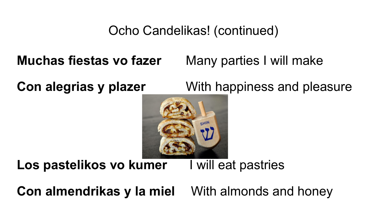#### Ocho Candelikas! (continued)

**Muchas fiestas vo fazer** Many parties I will make

**Con alegrias y plazer** With happiness and pleasure



**Los pastelikos vo kumer** I will eat pastries

**Con almendrikas y la miel** With almonds and honey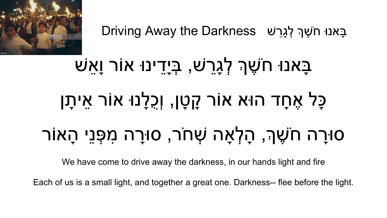

Eַבָּאנוּ חֹשֶׁךָּ לְגַרֵשׁ Driving Away the Darkness

## ּבָּאנוּ חֹשֶׁךָּ לְגָרֵשׁ, בְּיָדֵינוּ אוֹר וַאֲשׁ כָּל אֶחָד הוּא אוֹר קָ טָן, וְכֻלָנוּ אוֹר אֵיתָ ן ּסוּרָה חֹשֶׁךָּ, הָלְאָה שְׁחֹר, סוּרָה מִפְּנֵי הָאוֹר

We have come to drive away the darkness, in our hands light and fire

Each of us is a small light, and together a great one. Darkness-- flee before the light.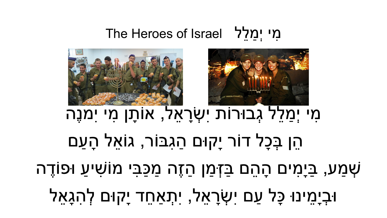שְׁ מַ ע, בַּיָמִ ים הָהֵם בַּזְּמַ ן הַזֶה מַ כַּבִּי מוֹשִׁ יעַ וּפוֹדֶ ה ּוּבְיָמֵינוּ כָּל עַם יִשְׂרָאֵל, יִתְאַחֵד יָקוּם לְהִגָּאֵל

### מִ י יְמַ לֵל גְבוּרוֹת יִשְׂ רָ אֵל, אוֹתָ ן מִ י יִמנֶה הֵן בְּכָל דוֹר יָקוּם הַגִבּוֹר, גוֹאֵל הָעַם





#### מי יִמלל The Heroes of Israel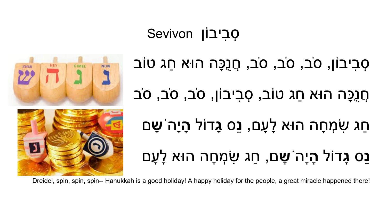



ּסְבִיבוֹן, סֹב, סֹב, סֹב, חֲנֶכָּה הוּא חַג טוֹב ּחֲנָכֵּה הוּא חַג טוֹב, סְבִיבוֹן, סֹב, סֹב, סֹב חַג שִׂ מְ חָה הוּא לָעָם, **נֵ**ס **גָ**דוֹל **הָ** יָה ֹ**שָ** ם **נֵ**ס **גָ**דוֹל **הָ** יָה ֹ**שָ** ם, חַג שִׂ מְ חָה הוּא לָעָם

Dreidel, spin, spin, spin-- Hanukkah is a good holiday! A happy holiday for the people, a great miracle happened there!

סְבִיבוֹן Sevivon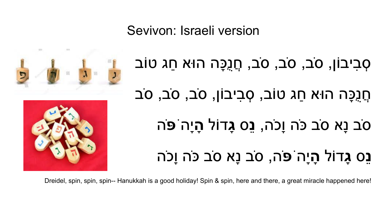ּסְבִיבוֹן, סֹב, סֹב, סֹב, חֲנֶכָּה הוּא חַג טוֹב ּחֲנֵכַּה הוּא חַג טוֹב, סְבִיבוֹן, סֹב, סֹב, סֹב ס ֹב נָא ס ֹב כּ ֹה וָכ ֹה, **נֵ**ס **גָ**דוֹל **הָ** יָה ֹ**פּ ֹ**ה **נֵס גָדוֹל הַיָּה ֹפּׂה, סֹב נַא סֹב כּׂה וַכֹּה** 



Sevivon: Israeli version



G

Dreidel, spin, spin, spin-- Hanukkah is a good holiday! Spin & spin, here and there, a great miracle happened here!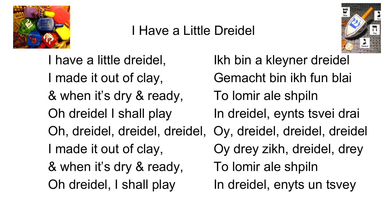

#### I Have a Little Dreidel



I have a little dreidel, Ikh bin a kleyner dreidel I made it out of clay, Gemacht bin ikh fun blai & when it's dry & ready, To lomir ale shpiln Oh dreidel I shall play In dreidel, eynts tsvei drai Oh, dreidel, dreidel, dreidel, Oy, dreidel, dreidel, dreidel I made it out of clay, Oy drey zikh, dreidel, drey & when it's dry & ready, To lomir ale shpiln Oh dreidel, I shall play In dreidel, enyts un tsvey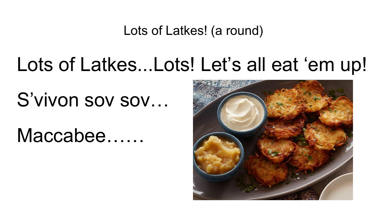Lots of Latkes! (a round)

### Lots of Latkes...Lots! Let's all eat 'em up!

S'vivon sov sov...

Maccabee……

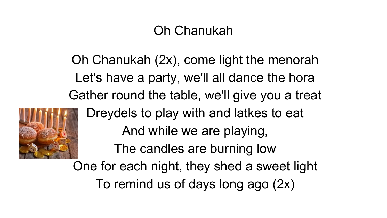#### Oh Chanukah

Oh Chanukah (2x), come light the menorah Let's have a party, we'll all dance the hora Gather round the table, we'll give you a treat



Dreydels to play with and latkes to eat And while we are playing, The candles are burning low One for each night, they shed a sweet light

To remind us of days long ago (2x)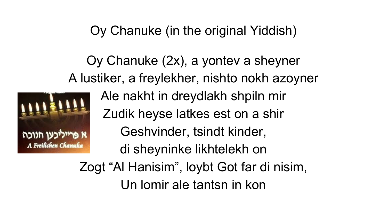Oy Chanuke (in the original Yiddish)

Oy Chanuke (2x), a yontev a sheyner A lustiker, a freylekher, nishto nokh azoyner



Ale nakht in dreydlakh shpiln mir Zudik heyse latkes est on a shir Geshvinder, tsindt kinder, di sheyninke likhtelekh on

Zogt "Al Hanisim", loybt Got far di nisim, Un lomir ale tantsn in kon